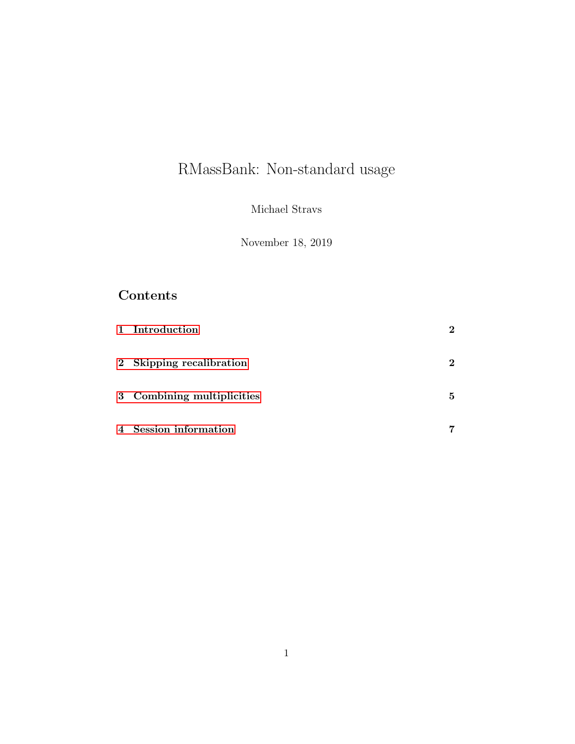# RMassBank: Non-standard usage

Michael Stravs

November 18, 2019

## Contents

|                | 1 Introduction             | $\bf{2}$ |
|----------------|----------------------------|----------|
|                | 2 Skipping recalibration   | 2        |
|                | 3 Combining multiplicities | 5        |
| $\overline{4}$ | Session information        |          |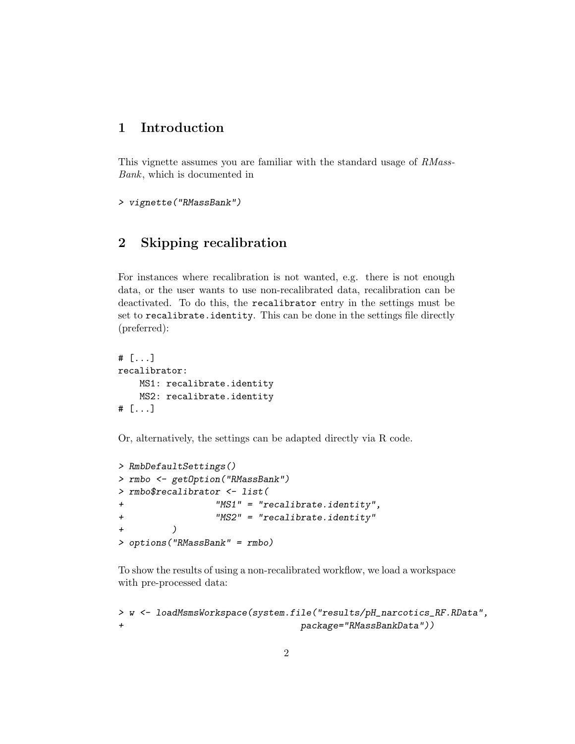### <span id="page-1-0"></span>1 Introduction

This vignette assumes you are familiar with the standard usage of RMass-Bank, which is documented in

```
> vignette("RMassBank")
```
## <span id="page-1-1"></span>2 Skipping recalibration

For instances where recalibration is not wanted, e.g. there is not enough data, or the user wants to use non-recalibrated data, recalibration can be deactivated. To do this, the recalibrator entry in the settings must be set to recalibrate.identity. This can be done in the settings file directly (preferred):

```
# [...]
recalibrator:
    MS1: recalibrate.identity
    MS2: recalibrate.identity
# [...]
```
Or, alternatively, the settings can be adapted directly via R code.

```
> RmbDefaultSettings()
> rmbo <- getOption("RMassBank")
> rmbo$recalibrator <- list(
+ "MS1" = "recalibrate.identity",
+ "MS2" = "recalibrate.identity"
+ )
> options("RMassBank" = rmbo)
```
To show the results of using a non-recalibrated workflow, we load a workspace with pre-processed data:

```
> w <- loadMsmsWorkspace(system.file("results/pH_narcotics_RF.RData",
+ package="RMassBankData"))
```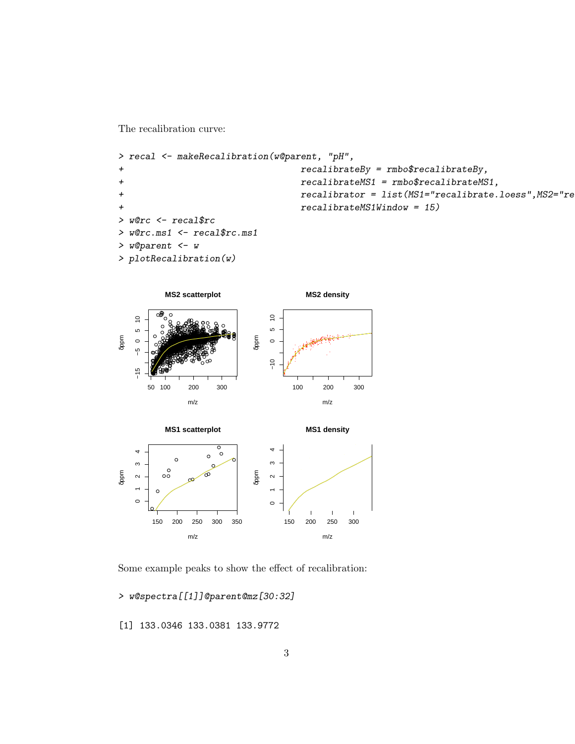The recalibration curve:

```
> recal <- makeRecalibration(w@parent, "pH",
\overline{+}recalibrateBy = rmbo$trecalibrateBy,recall brate MS1 = rmbo$trecalibrate MS1,\overline{+}recalibrator = list(MS1="recalibrate.loess", MS2="re
\overline{+}recalibrateMS1Window = 15)\overline{+}> w@rc <- recal$rc
> w@rc.ms1 <- recal$rc.ms1
> w@parent <- w
> plotRecalibration(w)
```


Some example peaks to show the effect of recalibration:

> w@spectra[[1]]@parent@mz[30:32]

[1] 133.0346 133.0381 133.9772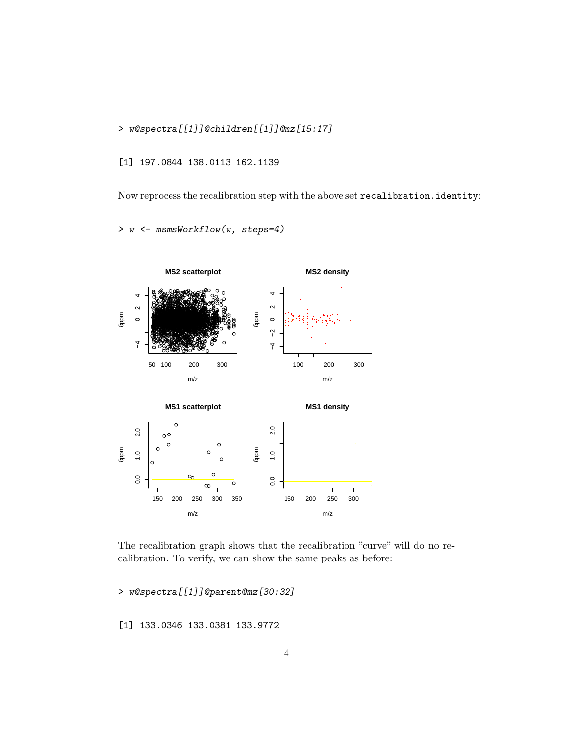> w@spectra[[1]]@children[[1]]@mz[15:17]

[1] 197.0844 138.0113 162.1139

Now reprocess the recalibration step with the above set recalibration.identity:

> w <- msmsWorkflow(w, steps=4)



The recalibration graph shows that the recalibration "curve" will do no recalibration. To verify, we can show the same peaks as before:

> w@spectra[[1]]@parent@mz[30:32]

[1] 133.0346 133.0381 133.9772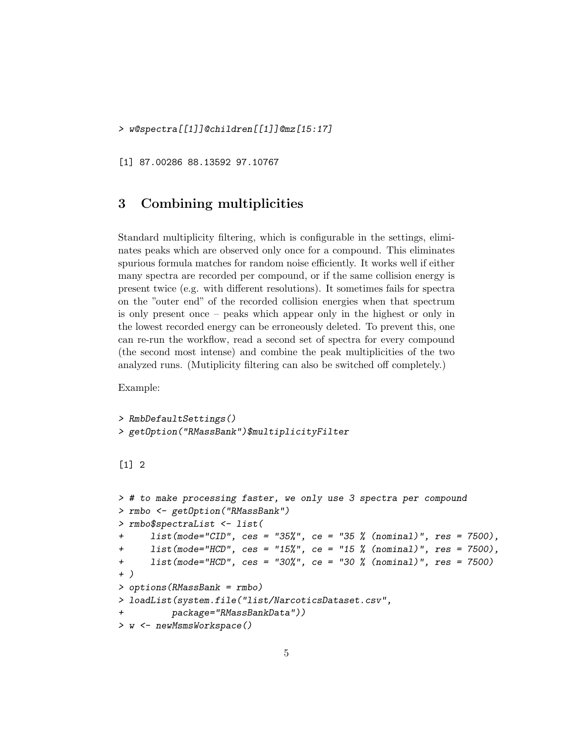> w@spectra[[1]]@children[[1]]@mz[15:17]

[1] 87.00286 88.13592 97.10767

#### <span id="page-4-0"></span>3 Combining multiplicities

Standard multiplicity filtering, which is configurable in the settings, eliminates peaks which are observed only once for a compound. This eliminates spurious formula matches for random noise efficiently. It works well if either many spectra are recorded per compound, or if the same collision energy is present twice (e.g. with different resolutions). It sometimes fails for spectra on the "outer end" of the recorded collision energies when that spectrum is only present once – peaks which appear only in the highest or only in the lowest recorded energy can be erroneously deleted. To prevent this, one can re-run the workflow, read a second set of spectra for every compound (the second most intense) and combine the peak multiplicities of the two analyzed runs. (Mutiplicity filtering can also be switched off completely.)

Example:

```
> RmbDefaultSettings()
> getOption("RMassBank")$multiplicityFilter
```
#### [1] 2

```
> # to make processing faster, we only use 3 spectra per compound
> rmbo <- getOption("RMassBank")
> rmbo$spectraList <- list(
+ list(mode="CID", ces = "35%", ce = "35 % (nominal)", res = 7500),
+ list(mode="HCD", ces = "15%", ce = "15 % (nominal)", res = 7500),
+ list(mode="HCD", ces = "30%", ce = "30 % (nominal)", res = 7500)
+ )
> options(RMassBank = rmbo)
> loadList(system.file("list/NarcoticsDataset.csv",
         package="RMassBankData"))
> w <- newMsmsWorkspace()
```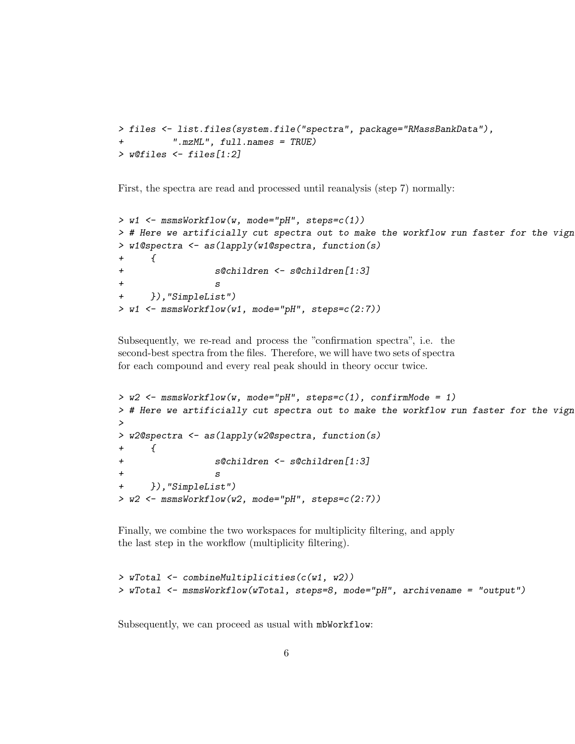```
> files <- list.files(system.file("spectra", package="RMassBankData"),
          ".mzML", full.names = TRUE)
> w@files <- files[1:2]
```
First, the spectra are read and processed until reanalysis (step 7) normally:

```
> w1 <- msmsWorkflow(w, mode="pH", steps=c(1))
> # Here we artificially cut spectra out to make the workflow run faster for the vign
> w1@spectra <- as(lapply(w1@spectra, function(s)
+ {
+ s@children <- s@children[1:3]
+ s
+ }),"SimpleList")
> w1 <- msmsWorkflow(w1, mode="pH", steps=c(2:7))
```
Subsequently, we re-read and process the "confirmation spectra", i.e. the second-best spectra from the files. Therefore, we will have two sets of spectra for each compound and every real peak should in theory occur twice.

```
> w2 <- msmsWorkflow(w, mode="pH", steps=c(1), confirmMode = 1)
> # Here we artificially cut spectra out to make the workflow run faster for the vign
>
> w2@spectra <- as(lapply(w2@spectra, function(s)
+ {
+ s@children <- s@children[1:3]
+ s
+ }),"SimpleList")
> w2 <- msmsWorkflow(w2, mode="pH", steps=c(2:7))
```
Finally, we combine the two workspaces for multiplicity filtering, and apply the last step in the workflow (multiplicity filtering).

```
> wTotal <- combineMultiplicities(c(w1, w2))
> wTotal <- msmsWorkflow(wTotal, steps=8, mode="pH", archivename = "output")
```
Subsequently, we can proceed as usual with mbWorkflow: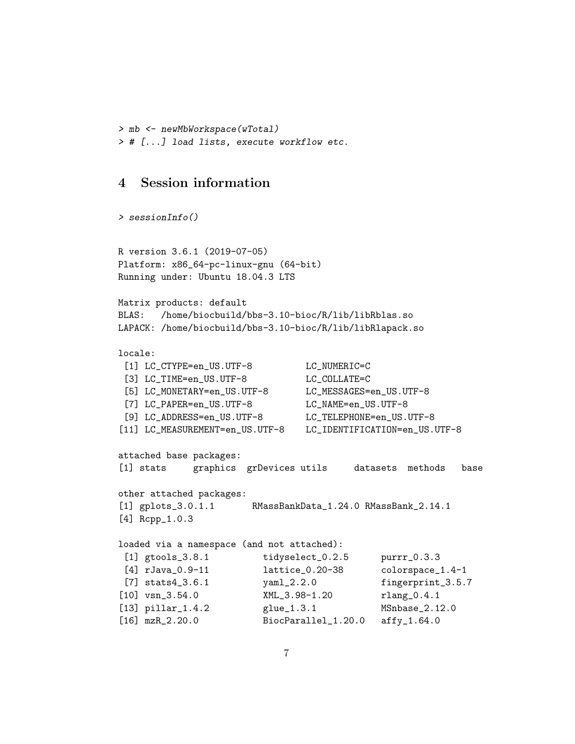```
> mb <- newMbWorkspace(wTotal)
> # [...] load lists, execute workflow etc.
```
#### <span id="page-6-0"></span>4 Session information

> sessionInfo()

```
R version 3.6.1 (2019-07-05)
Platform: x86_64-pc-linux-gnu (64-bit)
Running under: Ubuntu 18.04.3 LTS
Matrix products: default
BLAS: /home/biocbuild/bbs-3.10-bioc/R/lib/libRblas.so
LAPACK: /home/biocbuild/bbs-3.10-bioc/R/lib/libRlapack.so
locale:
 [1] LC_CTYPE=en_US.UTF-8 LC_NUMERIC=C
 [3] LC_TIME=en_US.UTF-8 LC_COLLATE=C
 [5] LC_MONETARY=en_US.UTF-8 LC_MESSAGES=en_US.UTF-8
 [7] LC_PAPER=en_US.UTF-8 LC_NAME=en_US.UTF-8
 [9] LC_ADDRESS=en_US.UTF-8 LC_TELEPHONE=en_US.UTF-8
[11] LC_MEASUREMENT=en_US.UTF-8 LC_IDENTIFICATION=en_US.UTF-8
attached base packages:
[1] stats graphics grDevices utils datasets methods base
other attached packages:
[1] gplots_3.0.1.1 RMassBankData_1.24.0 RMassBank_2.14.1
[4] Rcpp_1.0.3
loaded via a namespace (and not attached):
 [1] gtools_3.8.1 tidyselect_0.2.5 purrr_0.3.3
 [4] rJava_0.9-11 lattice_0.20-38 colorspace_1.4-1
 [7] stats4_3.6.1 yaml_2.2.0 fingerprint_3.5.7
[10] vsn_3.54.0 XML_3.98-1.20 rlang_0.4.1
[13] pillar_1.4.2 glue_1.3.1 MSnbase_2.12.0
[16] mzR_2.20.0 BiocParallel_1.20.0 affy_1.64.0
```